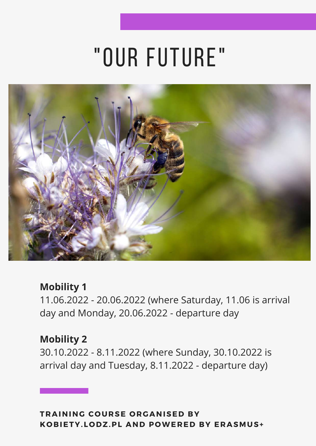# "our future"



#### **Mobility 1**

11.06.2022 - 20.06.2022 (where Saturday, 11.06 is arrival day and Monday, 20.06.2022 - departure day

#### **Mobility 2**

30.10.2022 - 8.11.2022 (where Sunday, 30.10.2022 is arrival day and Tuesday, 8.11.2022 - departure day)

**TRAINING C O URSE O RGANISED BY K O BIETY. L O DZ.PL AND P OWERED BY ERASMUS+**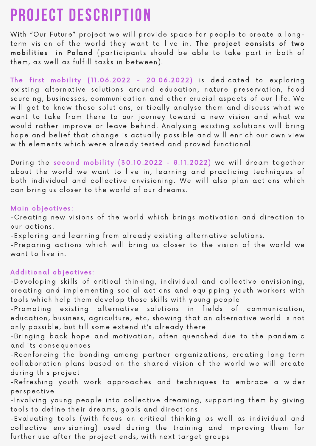### **project description**

With "Our Future" project we will provide space for people to create a longterm vision of the world they want to live in. The project consists of two mobilities in Poland (participants should be able to take part in both of them, as well as fulfill tasks in between).

The first mobility  $(11.06.2022 - 20.06.2022)$  is dedicated to exploring existing alternative solutions around education, nature preservation, food sourcing, businesses, communication and other crucial aspects of our life. We will get to know those solutions, critically analyse them and discuss what we want to take from there to our journey toward a new vision and what we would rather improve or leave behind. Analysing existing solutions will bring hope and belief that change is actually possible and will enrich our own view with elements which were already tested and proved functional.

During the second mobility (30. 10.2022 - 8. 1 1 .2022) we will dream together about the world we want to live in, learning and practicing techniques of both individual and collective envisioning. We will also plan actions which can bring us closer to the world of our dreams.

#### Main objectives :

-Creating new visions of the world which brings motivation and direction to our actions .

-Exploring and learning from already existing alternative solutions.

-Preparing actions which will bring us closer to the vision of the world we want to live in.

#### Additional objectives :

-Developing skills of critical thinking, individual and collective envisioning, creating and implementing social actions and equipping youth workers with tools which help them develop those skills with young people

-Promoting existing alternative solutions in fields of communication, education, business, agriculture, etc, showing that an alternative world is not only possible, but till some extend it's already there

-Bringing back hope and motivation, often quenched due to the pandemic and its consequences

-Reenforcing the bonding among partner organizations, creating long term collaboration plans based on the shared vision of the world we will create during this project

-Refreshing youth work approaches and techniques to embrace a wider perspective

-Involving young people into collective dreaming, supporting them by giving tools to define their dreams, goals and directions

-Evaluating tools (with focus on critical thinking as well as individual and collective envisioning) used during the training and improving them for further use after the project ends, with next target groups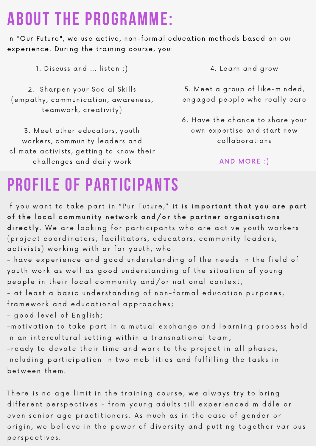### **about the Programme:**

In "Our Future", we use active, non-formal education methods based on our experience. During the training course, you:

1. Discuss and ... listen;)

2. Sharpen your Social Skills (empathy, communication, awareness, teamwork, creativity)

3. Meet other educators, youth workers, community leaders and climate activists, getting to know their challenges and daily work

4. Learn and grow

5. Meet a group of like-minded, engaged people who really care

6. Have the chance to share your own expertise and start new collaborations

#### AND MORE : )

### **profile of participants**

If you want to take part in "Pur Future," it is important that you are part of the local community network and/or the partner organisations directly. We are looking for participants who are active youth workers (project coordinators, facilitators, educators, community leaders, activists) working with or for youth, who:

- have experience and good understanding of the needs in the field of youth work as well as good understanding of the situation of young people in their local community and/or national context;

- at least a basic understanding of non-formal education purposes, fram ework and educational approaches;

- good level of English;

-motivation to take part in a mutual exchange and learning process held in an intercultural setting within a transnational team;

- ready to devote their time and work to the project in all phases, including participation in two mobilities and fulfilling the tasks in between them.

There is no age limit in the training course, we always try to bring different perspectives - from young adults till experienced middle or even senior age practitioners. As much as in the case of gender or origin, we believe in the power of diversity and putting together various perspectives.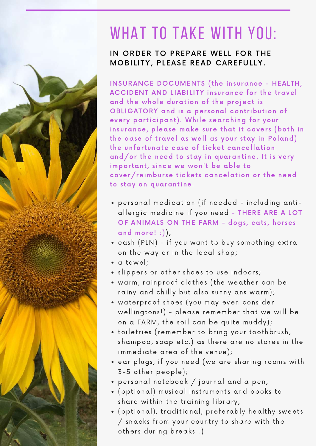### WHAT TO TAKE WITH YOU:

#### IN ORDER TO PREPARE WELL FOR THE MOBILITY, PLEASE READ CAREFULLY.

INSURANCE DOCUMENTS ( the insurance - HEALTH, ACCIDENT AND LIABILITY insurance for the travel and the whole duration of the project is OBLIGATORY and is a personal contribution of every participant). While searching for your insurance, please make sure that it covers (both in the case of travel as well as your stay in Poland) the unfortunate case of ticket cancellation and/or the need to stay in quarantine. It is very important, since we won't be able to cover/reimburse tickets cancelation or the need to stay on quarantine.

- per sonal medication (if needed including antiallergic medicine if you need - THERE ARE A LOT OF ANIMALS ON THE FARM - dogs, cats, horses and more! :));
- cash (PLN) if you want to buy something extra on the way or in the local shop;
- a towel;
- slippers or other shoes to use indoors;
- warm, rainproof clothes (the weather can be rainy and chilly but also sunny ans warm);
- waterproof shoes (you may even consider wellingtons!) - please remember that we will be on a FARM, the soil can be quite muddy);
- toiletries (remember to bring your toothbrush, shampoo, soap etc.) as there are no stores in the immediate area of the venue);
- ear plugs, if you need (we are sharing rooms with 3-5 other people);
- per sonal notebook / journal and a pen;
- (optional) musical instruments and books to share within the training library;
- (optional), traditional, preferably healthy sweets / snacks from your country to share with the others during breaks :)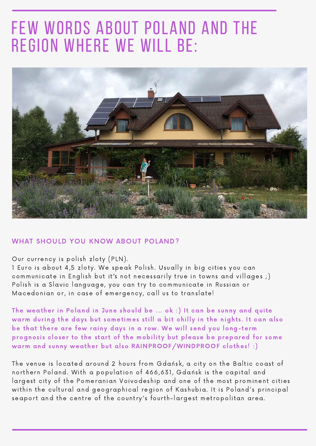### few words about poland and the region where we will be:



#### WHAT SHOULD YOU KNOW ABOUT POLAND?

#### Our currency is polish zloty (PLN).

1 Euro is about 4,5 zloty. We speak Polish. Usually in big cities you can communicate in English but it's not necessarily true in towns and villages;) Polish is a Slavic language, you can try to communicate in Russian or Macedonian or, in case of emergency, call us to translate!

The weather in Poland in June should be ... ok : ) It can be sunny and quite warm during the days but sometimes still a bit chilly in the nights. It can also be that there are few rainy days in a row. We will send you long-term prognosis closer to the start of the mobility but please be prepared for some warm and sunny weather but also RAINPROOF/WINDPROOF clothes! :)

The venue is located around 2 hours from Gdańsk, a city on the Baltic coast of northern Poland. With a population of 466,631, Gdańsk is the capital and largest city of the Pomeranian Voivodeship and one of the most prominent cities within the cultural and geographical region of Kashubia. It is Poland's principal seaport and the centre of the country's fourth-largest metropolitan area.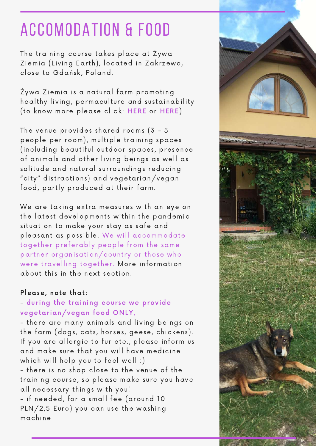### ACCOMODATION & FOOD

The training course takes place at Żywa Ziemia (Living Earth), located in Zakrzewo, close to Gdańsk, Poland.

Żywa Ziemia is a natural farm promoting healthy living, permaculture and sustainability (to know more please click: [HERE](https://livingearth.pl/en/home-eng/) or [HERE](https://pl-pl.facebook.com/ZywaZiemia/))

The venue provides shared rooms (3 - 5 people per room), multiple training spaces (including beautiful outdoor spaces , presence of animals and other living beings as well as solitude and natural surroundings reducing "city" distractions) and vegetarian/vegan food, partly produced at their farm.

We are taking extra measures with an eye on the latest developments within the pandemic situation to make your stay as safe and pleasant as possible. We will accommodate together preferably people from the same partner organisation/country or those who were travelling together. More information about this in the next section.

#### Please, note that:

#### - during the training course we provide vegetarian/vegan food ONLY,

- there are many animals and living beings on the farm (dogs, cats, horses, geese, chickens). If you are allergic to fur etc., please inform us and make sure that you will have medicine which will help you to feel well :) - there is no shop close to the venue of the training cour se, so please make sure you have all necessary things with you! - if needed, for a small fee (around 10

PLN/2,5 Euro) you can use the washing machine

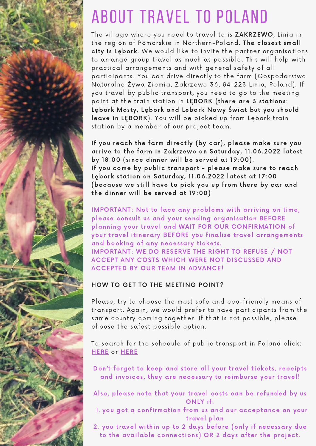

# about travel TO POLAND

The village where you need to travel to is ZAKRZEWO, Linia in the region of Pomorskie in Northern-Poland. The closest small city is Lębork. We would like to invite the partner organisations to arrange group travel as much as possible. This will help with practical arrangements and with general safety of all participants. You can drive directly to the farm (Gospodarstwo Naturalne Żywa Ziemia, Zakrzewo 36, 84-223 Linia, Poland). If you travel by public transport, you need to go to the meeting point at the train station in LĘBORK (there are 3 stations: Lębork Mosty, Lębork and Lębork Nowy Świat but you should leave in LĘBORK). You will be picked up from Lębork train station by a member of our project team.

If you reach the farm directly (by car), please make sure you arrive to the farm in Zakrzewo on Saturday, 11.06.2022 latest by 18:00 (since dinner will be served at 19:00). If you come by public transport - please make sure to reach Lębork station on Saturday, 11.06.2022 latest at 17:00 (because we still have to pick you up from there by car and the dinner will be served at 19:00)

IMPORTANT: Not to face any problems with arriving on time, please consult us and your sending organisation BEFORE planning your travel and WAIT FOR OUR CONFIRMATION of your travel itinerary BEFORE you finalise travel arrangements and booking of any necessary tickets. IMPORTANT: WE DO RESERVE THE RIGHT TO REFUSE / NOT ACCEPT ANY COSTS WHICH WERE NOT DISCUSSED AND ACCEPTED BY OUR TEAM IN ADVANCE!

#### HOW TO GET TO THE MEETING POINT?

Please, try to choose the most safe and eco-friendly means of transport. Again, we would prefer to have participants from the same country coming together. If that is not possible, please choose the safest possible option.

To search for the schedule of public transport in Poland click: **[HERE](https://en.e-podroznik.pl/)** or **HERE** 

Don't forget to keep and store all your travel tickets, receipts and invoices, they are necessary to reimburse your travel!

Also, please note that your travel costs can be refunded by us ONLY if:

l. you got a confirmation from us and our acceptance on your travel plan

2. you travel within up to 2 days before (only if necessary due to the available connections) OR 2 days after the project.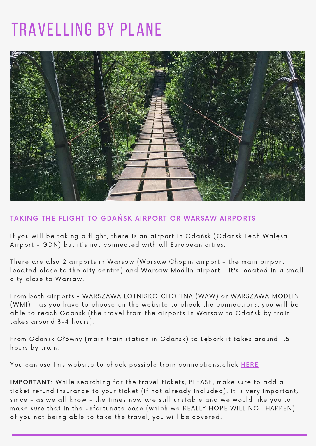### Travelling BY PLANE



#### TAKING THE FLIGHT TO GDAŃSK AIRPORT OR WARSAW AIRPORTS

If you will be taking a flight, there is an airport in Gdańsk (Gdansk Lech Wałęsa Airport - GDN) but it's not connected with all European cities.

There are also 2 airports in Warsaw (Warsaw Chopin airport - the main airport located close to the city centre) and Warsaw Modlin airport - it's located in a small city close to Warsaw.

From both airports - WARSZAWA LOTNISKO CHOPINA (WAW) or WARSZAWA MODLIN (WMI) - as you have to choose on the website to check the connections, you will be able to reach Gdańsk (the travel from the airports in Warsaw to Gdańsk by train takes around 3-4 hours).

From Gdańsk Główny (main train station in Gdańsk) to Lębork it takes around 1,5 hours by train.

You can use this website to check possible train connections: click [HERE](https://portalpasazera.pl/en)

IMPORTANT: While searching for the travel tickets, PLEASE, make sure to add a ticket refund insurance to your ticket (if not already included). It is very important, since - as we all know - the times now are still unstable and we would like you to make sure that in the unfortunate case (which we REALLY HOPE WILL NOT HAPPEN) of you not being able to take the travel, you will be covered.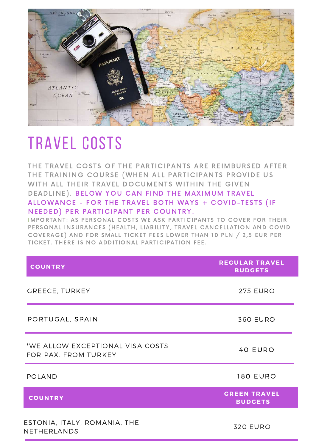

### TRAVEL COSTS

THE TRAVEL COSTS OF THE PARTICIPANTS ARE REIMBURSED AFTER THE TRAINING COURSE (WHEN ALL PARTICIPANTS PROVIDE US WITH ALL THEIR TRAVEL DOCUMENTS WITHIN THE GIVEN DEADLINE). BELOW YOU CAN FIND THE MAXIMUM TRAVEL ALLOWANCE - FOR THE TRAVEL BOTH WAYS + COVID-TESTS (IF NEEDED) PER PARTICIPANT PER COUNTRY.

IMPORTANT: AS PERSONAL COSTS WE ASK PARTICIPANTS TO COVER FOR THEIR PERSONAL INSURANCES (HEALTH, LIABILITY, TRAVEL CANCELLATION AND COVID COVERAGE) AND FOR SMALL TICKET FEES LOWER THAN 10 PLN / 2,5 EUR PER TICKET. THERE IS NO ADDITIONAL PARTICIPATION FEE.

| <b>COUNTRY</b>                                           | <b>REGULAR TRAVEL</b><br><b>BUDGETS</b> |
|----------------------------------------------------------|-----------------------------------------|
| <b>GREECE, TURKEY</b>                                    | <b>275 EURO</b>                         |
| PORTUGAL, SPAIN                                          | <b>360 EURO</b>                         |
| *WE ALLOW EXCEPTIONAL VISA COSTS<br>FOR PAX. FROM TURKEY | 40 EURO                                 |
| <b>POLAND</b>                                            | <b>180 EURO</b>                         |
| <b>COUNTRY</b>                                           | <b>GREEN TRAVEL</b><br><b>BUDGETS</b>   |
| ESTONIA, ITALY, ROMANIA, THE<br>NETHERLANDS              | <b>320 EURO</b>                         |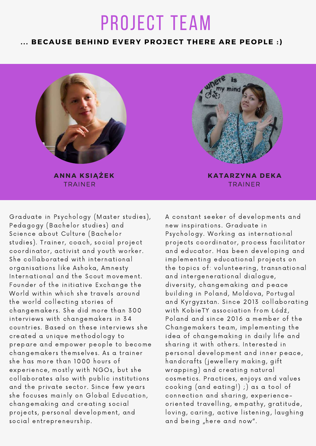### project team

#### **. . . BECAUSE BEHIND EVERY PR O JECT THERE ARE PE O PLE :)**



TRAINER **ANNA KSIĄŻEK**



TRAINER **KATARZYNA DEKA**

Graduate in Psychology (Master studies), Pedagogy (Bachelor studies) and Science about Culture (Bachelor studies). Trainer, coach, social project coordinator, activist and youth worker. She collaborated with international organisations like Ashoka, Amnesty International and the Scout movement. Founder of the initiative Exchange the World within which she travels around the world collecting stories of changemakers. She did more than 300 interviews with changemakers in 34 countries . Based on these interviews she created a unique methodology to prepare and empower people to become changemakers themselves. As a trainer she has more than 1000 hours of experience, mostly with NGOs, but she collaborates also with public institutions and the private sector. Since few years she focuses mainly on Global Education, changemaking and creating social projects, personal development, and social entrepreneurship.

A constant seeker of developments and new inspirations. Graduate in Psychology. Working as international projects coordinator, process facilitator and educator. Has been developing and implementing educational projects on the topics of: volunteering, transnational and intergenerational dialogue, diversity, changemaking and peace building in Poland, Moldova, Portugal and Kyrgyzstan. Since 2013 collaborating with KobieTY association from Łódź, Poland and since 2016 a member of the Changemakers team, implementing the idea of changemaking in daily life and sharing it with others. Interested in personal development and inner peace, handcrafts (jewellery making, gift wrapping) and creating natural cosmetics . Practices , enjoys and values cooking (and eating!) ;) as a tool of connection and sharing, experienceoriented travelling, empathy, gratitude, loving, caring, active listening, laughing and being "here and now".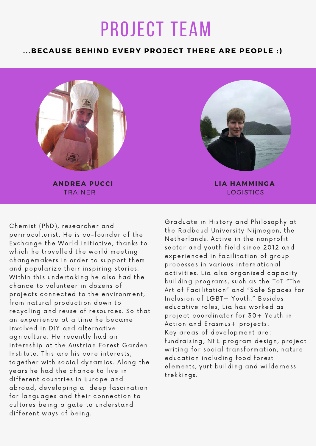## project team

#### **. . .BECAUSE BEHIND EVERY PR O JECT THERE ARE PE O PLE :)**



TRAINER **ANDREA PUCCI**



LOGISTICS **L IA HAMMINGA**

Chemist (PhD), researcher and permaculturist. He is co-founder of the Exchange the World initiative, thanks to which he travelled the world meeting changemakers in order to support them and popularize their inspiring stories. Within this undertaking he also had the chance to volunteer in dozens of projects connected to the environment, from natural production down to recycling and reuse of resources. So that an experience at a time he became involved in DIY and alternative agriculture. He recently had an internship at the Austrian Forest Garden Institute. This are his core interests, together with social dynamics . Along the years he had the chance to live in different countries in Europe and abroad, developing a deep fascination for languages and their connection to cultures being a gate to understand different ways of being.

Graduate in History and Philosophy at the Radboud University Nijmegen, the Netherlands. Active in the nonprofit sector and youth field since 2012 and experienced in facilitation of group processes in various international activities. Lia also organised capacity building programs, such as the ToT "The Art of Facilitation" and "Safe Spaces for Inclusion of LGBT+ Youth." Besides educative roles , Lia has worked as project coordinator for 30+ Youth in Action and Erasmus+ projects. Key areas of development are: fundraising, NFE program design, project writing for social transformation, nature education including food forest elements, yurt building and wilderness trekkings .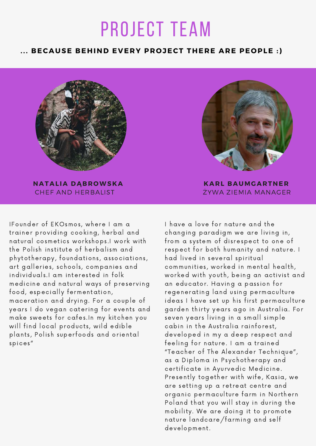## project team

#### **. . . BECAUSE BEHIND EVERY PR O JECT THERE ARE PE O PLE :)**

![](_page_11_Picture_2.jpeg)

CHEF AND HERBALIST **NATALIA DĄBR OWSKA**

IFounder of EKOsmos, where I am a trainer providing cooking, herbal and natural cosmetics workshops .I work with the Polish institute of herbalism and phytotherapy, foundations, associations, art galleries, schools, companies and individuals. I am interested in folk medicine and natural ways of preserving food, especially fermentation, maceration and drying. For a couple of years I do vegan catering for events and make sweets for cafes. In my kitchen you will find local products, wild edible plants, Polish superfoods and oriental spices "

![](_page_11_Picture_5.jpeg)

ŻYWA ZIEMIA MANAGER **KARL BAUMGARTNER**

I have a love for nature and the changing paradigm we are living in, from a system of disrespect to one of respect for both humanity and nature. I had lived in several spiritual communities, worked in mental health, worked with youth, being an activist and an educator. Having a passion for regenerating land using permaculture ideas I have set up his first permaculture garden thirty years ago in Australia. For seven years living in a small simple cabin in the Australia rainforest, developed in my a deep respect and feeling for nature. I am a trained "Teacher of The Alexander Technique", as a Diploma in Psychotherapy and certificate in Ayurvedic Medicine. Presently together with wife, Kasia, we are setting up a retreat centre and organic permaculture farm in Northern Poland that you will stay in during the mobility. We are doing it to promote nature landcare/farming and self development.